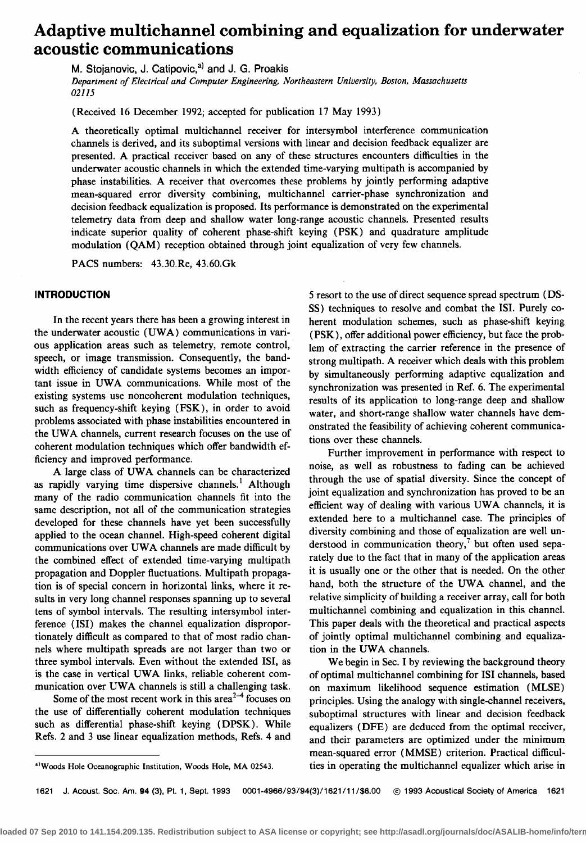# **Adaptive multichannel combining and equalization for underwater acoustic communications**

**M. Stojanovic, J. Catipovic, a) and J. G. Proakis** 

**Department of Electrical and Computer Engineering, Northeastern University, Boston, Massachusetts 02115** 

**(Received 16 December 1992; accepted for publication 17 May 1993)** 

**A theoretically optimal multichannel receiver for intersymbol interference communication channels is derived, and its suboptimal versions with linear and decision feedback equalizer are presented. A practical receiver based on any of these structures encounters difficulties in the underwater acoustic channels in which the extended time-varying multipath is accompanied by phase instabilities. A receiver that overcomes these problems by jointly performing adaptive mean-squared error diversity combining, multichannel carrier-phase synchronization and decision feedback equalization is proposed. Its performance is demonstrated on the experimental telemetry data from deep and shallow water long-range acoustic channels. Presented results indicate superior quality of coherent phase-shift keying (PSK) and quadrature amplitude modulation (QAM) reception obtained through joint equalization of very few channels.** 

**PACS numbers: 43.30.Re, 43.60.Gk** 

# **INTRODUCTION**

**In the recent years there has been a growing interest in the underwater acoustic (UWA) communications in various application areas such as telemetry, remote control, speech, or image transmission. Consequently, the bandwidth efficiency of candidate systems becomes an important issue in UWA communications. While most of the existing systems use noncoherent modulation techniques, such as frequency-shift keying (FSK), in order to avoid problems associated with phase instabilities encountered in the UWA channels, current research focuses on the use of coherent modulation techniques which offer bandwidth efficiency and improved performance.** 

**A large class of UWA channels can be characterized as rapidly varying time dispersive channels. • Although many of the radio communication channels fit into the same description, not all of the communication strategies developed for these channels have yet been successfully applied to the ocean channel. High-speed coherent digital communications over UWA channels are made difficult by the combined effect of extended time-varying multipath propagation and Doppler fluctuations. Multipath propagation is of special concern in horizontal links, where it results in very long channel responses spanning up to several tens of symbol intervals. The resulting intersymbol interference (ISI) makes the channel equalization disproportionately difficult as compared to that of most radio channels where multipath spreads are not larger than two or three symbol intervals. Even without the extended ISI, as is the case in vertical UWA links, reliable coherent communication over UWA channels is still a challenging task.** 

Some of the most recent work in this area<sup>2-4</sup> focuses on **the use of differentially coherent modulation techniques such as differential phase-shift keying (DPSK). While Refs. 2 and 3 use linear equalization methods, Refs. 4 and**  **5 resort to the use of direct sequence spread spectrum (DS-SS) techniques to resolve and combat the ISI. Purely coherent modulation schemes, such as phase-shift keying (PSK), offer additional power efficiency, but face the problem of extracting the carrier reference in the presence of strong multipath. A receiver which deals with this problem by simultaneously performing adaptive equalization and synchronization was presented in Ref. 6. The experimental results of its application to long-range deep and shallow water, and short-range shallow water channels have demonstrated the feasibility of achieving coherent communications over these channels.** 

Further improvement in performance with respect to **noise, as well as robustness to fading can be achieved through the use of spatial diversity. Since the concept of joint equalization and synchronization has proved to be an efficient way of dealing with various UWA channels, it is extended here to a multichannel case. The principles of diversity combining and those of equalization are well un**derstood in communication theory,<sup>7</sup> but often used sepa**rately due to the fact that in many of the application areas it is usually one or the other that is needed. On the other hand, both the structure of the UWA channel, and the relative simplicity of building a receiver array, call for both multichannel combining and equalization in this channel. This paper deals with the theoretical and practical aspects of jointly optimal multichannel combining and equalization in the UWA channels.** 

**We begin in Sec. I by reviewing the background theory of optimal multichannel combining for ISI channels, based on maximum likelihood sequence estimation (MLSE) principles. Using the analogy with single-channel receivers, suboptimal structures with linear and decision feedback equalizers (DFE) are deduced from the optimal receiver, and their parameters are optimized under the minimum mean-squared error (MMSE) criterion. Practical difficulties in operating the multichannel equalizer which arise in** 

**1621 J. Acoust. Soc. Am. 94 (3), Pt. 1, Sept. 1993 0001-4966/93/94(3)/1621/11/\$6.00 @ 1993 Acoustical Society of America 1621** 

**<sup>•)</sup>Woods Hole Oceanographic Institution, Woods Hole, MA 02543.**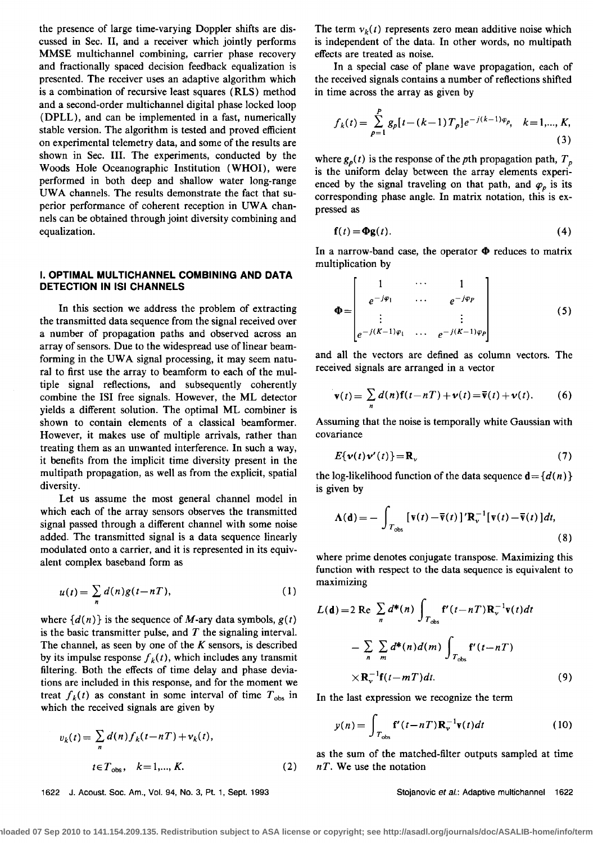**the presence of large time-varying Doppler shifts are discussed in Sec. II, and a receiver which jointly performs MMSE multichannel combining, carrier phase recovery and fractionally spaced decision feedback equalization is presented. The receiver uses an adaptive algorithm which is a combination of recursive least squares (RLS) method and a second-order multichannel digital phase locked loop (DPLL), and can be implemented in a fast, numerically stable version. The algorithm is tested and proved efficient on experimental telemetry data, and some of the results are shown in Sec. III. The experiments, conducted by the Woods Hole Oceanographic Institution (WHOI), were performed in both deep and shallow water long-range UWA channels. The results demonstrate the fact that superior performance of coherent reception in UWA channels can be obtained through joint diversity combining and equalization.** 

# **I. OPTIMAL MULTICHANNEL COMBINING AND DATA DETECTION IN ISI CHANNELS**

**In this section we address the problem of extracting the transmitted data sequence from the signal received over a number of propagation paths and observed across an array of sensors. Due to the widespread use of linear beam**forming in the UWA signal processing, it may seem natu**ral to first use the array to beamform to each of the multiple signal reflections, and subsequently coherently combine the ISI free signals. However, the ML detector yields a different solution. The optimal ML combiner is shown to contain elements of a classical beamformer. However, it makes use of multiple arrivals, rather than treating them as an unwanted interference. In such a way, it benefits from the implicit time diversity present in the multipath propagation, as well as from the explicit, spatial diversity.** 

**Let us assume the most general channel model in which each of the array sensors observes the transmitted signal passed through a different channel with some noise added. The transmitted signal is a data sequence linearly modulated onto a carrier, and it is represented in its equivalent complex baseband form as** 

$$
u(t) = \sum_{n} d(n)g(t - nT), \qquad (1)
$$

where  $\{d(n)\}\$ is the sequence of M-ary data symbols,  $g(t)$ **is the basic transmitter pulse, and T the signaling interval. The channel, as seen by one of the K sensors, is described**  by its impulse response  $f_k(t)$ , which includes any transmit **filtering. Both the effects of time delay and phase deviations are included in this response, and for the moment we**  treat  $f_k(t)$  as constant in some interval of time  $T_{obs}$  in **which the received signals are given by** 

$$
v_k(t) = \sum_{n} d(n) f_k(t - nT) + v_k(t),
$$
  

$$
t \in T_{obs}, \quad k = 1,..., K.
$$
 (2)

**1622 d. Acoust. Soc. Am., Vol. 94, No. 3, Pt. 1, Sept. 1993 Stojanovic et aL: Adaptive multichannel 1622** 

The term  $v_k(t)$  represents zero mean additive noise which **is independent of the data. In other words, no multipath effects are treated as noise.** 

**In a special case of plane wave propagation, each of**  the received signals contains a number of reflections shifted **in time across the array as given by** 

$$
f_k(t) = \sum_{p=1}^P g_p[t - (k-1)T_p]e^{-j(k-1)\varphi_p}, \quad k = 1, ..., K,
$$
\n(3)

where  $g_p(t)$  is the response of the pth propagation path,  $T_p$ **is the uniform delay between the array elements experi**enced by the signal traveling on that path, and  $\varphi_p$  is its **corresponding phase angle. In matrix notation, this is expressed as** 

$$
\mathbf{f}(t) = \mathbf{\Phi} \mathbf{g}(t). \tag{4}
$$

In a narrow-band case, the operator  $\Phi$  reduces to matrix **multiplication by** 

$$
\Phi = \begin{bmatrix} 1 & \cdots & 1 \\ e^{-j\varphi_1} & \cdots & e^{-j\varphi_p} \\ \vdots & & \vdots \\ e^{-j(K-1)\varphi_1} & \cdots & e^{-j(K-1)\varphi_p} \end{bmatrix}
$$
(5)

**and all the vectors are defined as column vectors. The received signals are arranged in a vector** 

$$
\mathbf{v}(t) = \sum_{n} d(n) \mathbf{f}(t - nT) + \mathbf{v}(t) = \overline{\mathbf{v}}(t) + \mathbf{v}(t). \quad (6)
$$

**Assuming that the noise is temporally white Gaussian with covariance** 

$$
E\{\mathbf{v}(t)\mathbf{v}'(t)\} = \mathbf{R}_v
$$
 (7)

the log-likelihood function of the data sequence  $\mathbf{d} = \{d(n)\}\$ **is given by** 

$$
\mathbf{\Lambda}(\mathbf{d}) = -\int_{T_{\text{obs}}} \left[ \mathbf{v}(t) - \overline{\mathbf{v}}(t) \right]' \mathbf{R}_{\mathbf{v}}^{-1} \left[ \mathbf{v}(t) - \overline{\mathbf{v}}(t) \right] dt, \tag{8}
$$

**where prime denotes conjugate transpose. Maximizing this function with respect to the data sequence is equivalent to maximizing** 

$$
L(\mathbf{d}) = 2 \operatorname{Re} \sum_{n} d^*(n) \int_{T_{obs}} \mathbf{f}'(t - nT) \mathbf{R}_v^{-1} \mathbf{v}(t) dt
$$

$$
- \sum_{n} \sum_{m} d^*(n) d(m) \int_{T_{obs}} \mathbf{f}'(t - nT)
$$

$$
\times \mathbf{R}_v^{-1} \mathbf{f}(t - mT) dt. \tag{9}
$$

**In the last expression we recognize the term** 

$$
y(n) = \int_{T_{\text{obs}}} \mathbf{f}'(t - nT) \mathbf{R}_v^{-1} \mathbf{v}(t) dt
$$
 (10)

**as the sum of the matched-filter outputs sampled at time n T. We use the notation**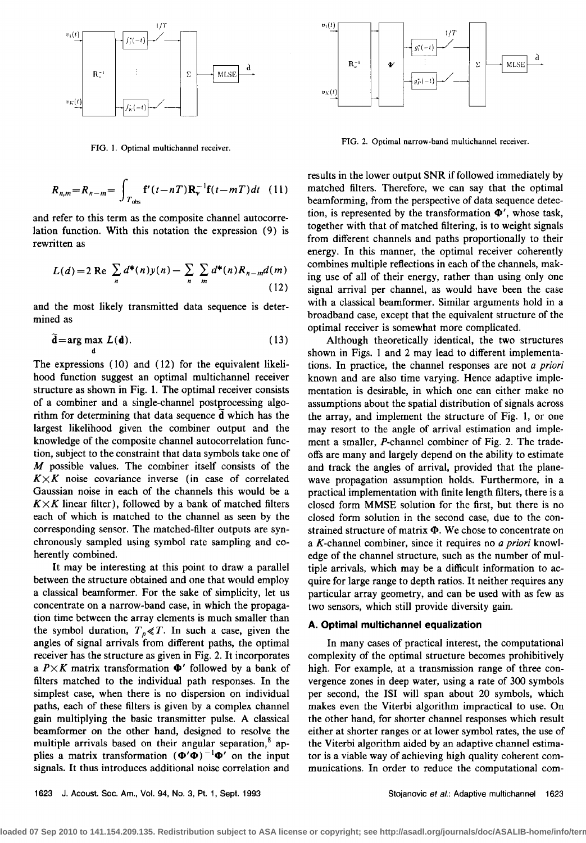

**FIG. 1. Optimal multichannel receiver.** 

$$
R_{n,m} = R_{n-m} = \int_{T_{\text{obs}}} \mathbf{f}'(t - nT) \mathbf{R}_v^{-1} \mathbf{f}(t - mT) dt \quad (11) \quad \text{matched filters.} \\ \text{beamforming, fi}
$$

**and refer to this term as the composite channel autocorrelation function. With this notation the expression (9) is rewritten as** 

$$
L(d) = 2 \text{ Re } \sum_{n} d^{*}(n) y(n) - \sum_{n} \sum_{m} d^{*}(n) R_{n-m} d(m)
$$
\n(12)

**and the most likely transmitted data sequence is determined as** 

$$
\tilde{\mathbf{d}} = \arg \max_{\mathbf{d}} L(\mathbf{d}).
$$
 (13)

**The expressions (10) and (12) for the equivalent likelihood function suggest an optimal multichannel receiver structure as shown in Fig. 1. The optimal receiver consists of a combiner and a single-channel postprocessing algorithm for determining that data sequence d which has the largest likelihood given the combiner output and the knowledge of the composite channel autocorrelation function, subject to the constraint that data symbols take one of M possible values. The combiner itself consists of the**   $K \times K$  noise covariance inverse (in case of correlated **Gaussian noise in each of the channels this would be a**   $K \times K$  linear filter), followed by a bank of matched filters **each of which is matched to the channel as seen by the corresponding sensor. The matched-filter outputs are synchronously sampled using symbol rate sampling and coherently combined.** 

**It may be interesting at this point to draw a parallel between the structure obtained and one that would employ a classical beamformer. For the sake of simplicity, let us concentrate on a narrow-band case, in which the propagation time between the array elements is much smaller than**  the symbol duration,  $T_p \ll T$ . In such a case, given the **angles of signal arrivals from different paths, the optimal receiver has the structure as given in Fig. 2. It incorporates**  a  $P \times K$  matrix transformation  $\Phi'$  followed by a bank of **filters matched to the individual path responses. In the simplest case, when there is no dispersion on individual paths, each of these filters is given by a complex channel gain multiplying the basic transmitter pulse. A classical beamformer on the other hand, designed to resolve the**  multiple arrivals based on their angular separation,<sup>8</sup> applies a matrix transformation  $(\Phi' \Phi)^{-1} \Phi'$  on the input **signals. It thus introduces additional noise correlation and** 



**FIG. 2. Optimal narrow-band multichannel receiver.** 

**results in the lower output SNR if followed immediately by matched filters. Therefore, we can say that the optimal beamforming, from the perspective of data sequence detec**tion, is represented by the transformation  $\Phi'$ , whose task, **together with that of matched filtering, is to weight signals from different channels and paths proportionally to their energy. In this manner, the optimal receiver coherently combines multiple reflections in each of the channels, making use of all of their energy, rather than using only one signal arrival per channel, as would have been the case with a classical beamformer. Similar arguments hold in a broadband case, except that the equivalent structure of the optimal receiver is somewhat more complicated.** 

**Although theoretically identical, the two structures shown in Figs. 1 and 2 may lead to different implementations. In practice, the channel responses are not a priori known and are also time varying. Hence adaptive implementation is desirable, in which one can either make no assumptions about the spatial distribution of signals across the array, and implement the structure of Fig. 1, or one may resort to the angle of arrival estimation and implement a smaller, P-channel combiner of Fig. 2. The tradeoffs are many and largely depend on the ability to estimate and track the angles of arrival, provided that the planewave propagation assumption holds. Furthermore, in a practical implementation with finite length filters, there is a closed form MMSE solution for the first, but there is no closed form solution in the second case, due to the con**strained structure of matrix  $\Phi$ . We chose to concentrate on **a K-channel combiner, since it requires no a priori knowledge of the channel structure, such as the number of multiple arrivals, which may be a difficult information to acquire for large range to depth ratios. It neither requires any particular array geometry, and can be used with as few as two sensors, which still provide diversity gain.** 

# **A. Optimal multichannel equalization**

**In many cases of practical interest, the computational complexity of the optimal structure becomes prohibitively high. For example, at a transmission range of three convergence zones in deep water, using a rate of 300 symbols per second, the ISI will span about 20 symbols, which makes even the Viterbi algorithm impractical to use. On the other hand, for shorter channel responses which result either at shorter ranges or at lower symbol rates, the use of the Viterbi algorithm aided by an adaptive channel estimator is a viable way of achieving high quality coherent communications. In order to reduce the computational com-**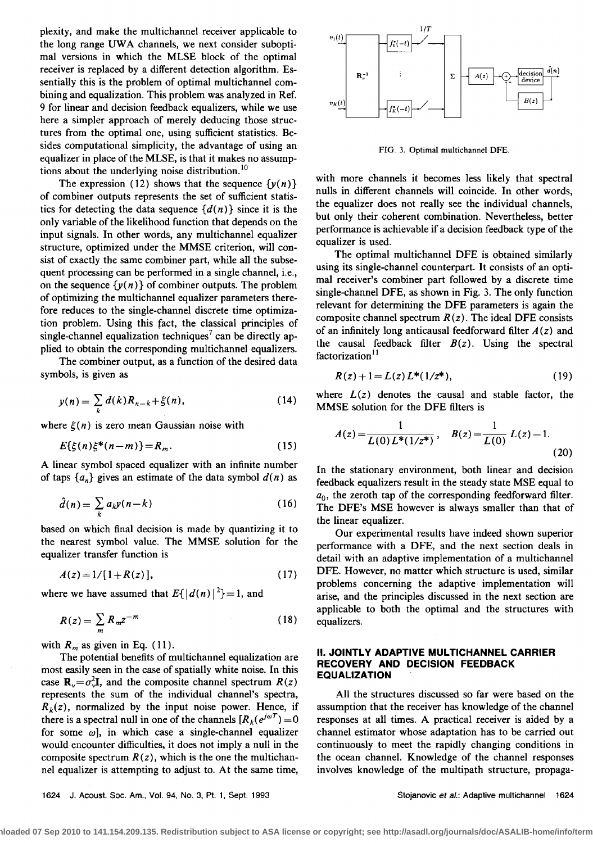**plexity, and make the multichannel receiver applicable to the long range UWA channels, we next consider suboptimal versions in which the MLSE block of the optimal receiver is replaced by a different detection algorithm. Essentially this is the problem of optimal multichannel com**bining and equalization. This problem was analyzed in Ref. **9 for linear and decision feedback equalizers, while we use here a simpler approach of merely deducing those structures from the optimal one, using sufficient statistics. Besides computational simplicity, the advantage of using an equalizer in place of the MLSE, is that it makes no assump**tions about the underlying noise distribution.<sup>10</sup>

The expression (12) shows that the sequence  $\{y(n)\}$ **of combiner outputs represents the set of sufficient statis**tics for detecting the data sequence  $\{d(n)\}\$  since it is the **only variable of the likelihood function that depends on the input signals. In other words, any multichannel equalizer structure, optimized under the MMSE criterion, will consist of exactly the same combiner part, while all the subsequent processing can be performed in a single channel, i.e.,**  on the sequence  $\{y(n)\}\$  of combiner outputs. The problem **of optimizing the multichannel equalizer parameters therefore reduces to the single-channel discrete time optimization problem. Using this fact, the classical principles of**  single-channel equalization techniques<sup>7</sup> can be directly ap**plied to obtain the corresponding multichannel equalizers.** 

**The combiner output, as a function of the desired data symbols, is given as** 

$$
y(n) = \sum_{k} d(k) R_{n-k} + \xi(n),
$$
 (14)

where  $\xi(n)$  is zero mean Gaussian noise with

$$
E\{\xi(n)\xi^*(n-m)\} = R_m. \tag{15}
$$

**A linear symbol spaced equalizer with an infinite number**  of taps  $\{a_n\}$  gives an estimate of the data symbol  $d(n)$  as

$$
\hat{d}(n) = \sum_{k} a_k y(n-k) \tag{16}
$$

**based on which final decision is made by quantizing it to the nearest symbol value. The MMSE solution for the equalizer transfer function is** 

$$
A(z) = 1/[1 + R(z)], \qquad (17)
$$

where we have assumed that  $E\{|d(n)|^2\}=1$ , and

$$
R(z) = \sum_{m} R_m z^{-m} \tag{18}
$$

with  $R_m$  as given in Eq. (11).

**The potential benefits of multichannel equalization are most easily seen in the case of spatially white noise. In this**  case  $\mathbf{R}_{v} = \sigma_{v}^{2} \mathbf{I}$ , and the composite channel spectrum  $R(z)$ **represents the sum of the individual channel's spectra,**   $R_k(z)$ , normalized by the input noise power. Hence, if there is a spectral null in one of the channels  $\left[ R_k(e^{j\omega T}) \right] = 0$ for some  $\omega$ ], in which case a single-channel equalizer **would encounter difficulties, it does not imply a null in the**  composite spectrum  $R(z)$ , which is the one the multichan**nel equalizer is attempting to adjust to. At the same time,** 



**FIG. 3. Optimal multichannel DFE.** 

**with more channels it becomes less likely that spectral nulls in different channels will coincide. In other words, the equalizer does not really see the individual channels, but only their coherent combination. Nevertheless, better performance is achievable if a decision feedback type of the equalizer is used.** 

**The optimal multichannel DFE is obtained similarly using its single-channel counterpart. It consists of an optimal receiver's combiner part followed by a discrete time single-channel DFE, as shown in Fig. 3. The only function relevant for determining the DFE parameters is again the composite channel spectrum R (z). The ideal DFE consists**  of an infinitely long anticausal feedforward filter  $A(z)$  and the causal feedback filter  $B(z)$ . Using the spectral factorization<sup>11</sup>

$$
R(z) + 1 = L(z) L^{*}(1/z^{*}), \qquad (19)
$$

where  $L(z)$  denotes the causal and stable factor, the **MMSE solution for the DFE filters is** 

$$
A(z) = \frac{1}{L(0)L^*(1/z^*)}, \quad B(z) = \frac{1}{L(0)} L(z) - 1.
$$
\n(20)

**In the stationary environment, both linear and decision feedback equalizers result in the steady state MSE equal to**   $a_0$ , the zeroth tap of the corresponding feedforward filter. **The DFE's MSE however is always smaller than that of the linear equalizer.** 

**Our experimental results have indeed shown superior performance with a DFE, and the next section deals in detail with an adaptive implementation of a multichannel DFE. However, no matter which structure is used, similar problems concerning the adaptive implementation will arise, and the principles discussed in the next section are applicable to both the optimal and the structures with equalizers.** 

## **II. JOINTLY ADAPTIVE MULTICHANNEL CARRIER RECOVERY AND DECISION FEEDBACK EQUALIZATION**

**All the structures discussed so far were based on the assumption that the receiver has knowledge of the channel responses at all times. A practical receiver is aided by a channel estimator whose adaptation has to be carried out continuously to meet the rapidly changing conditions in the ocean channel. Knowledge of the channel responses involves knowledge of the multipath structure, propaga-**

**1624 d. Acoust. Soc. Am., Vol. 94, No. 3, Pt. 1, Sept. 1993 Stojanovic et al.: Adaptive multichannel 1624**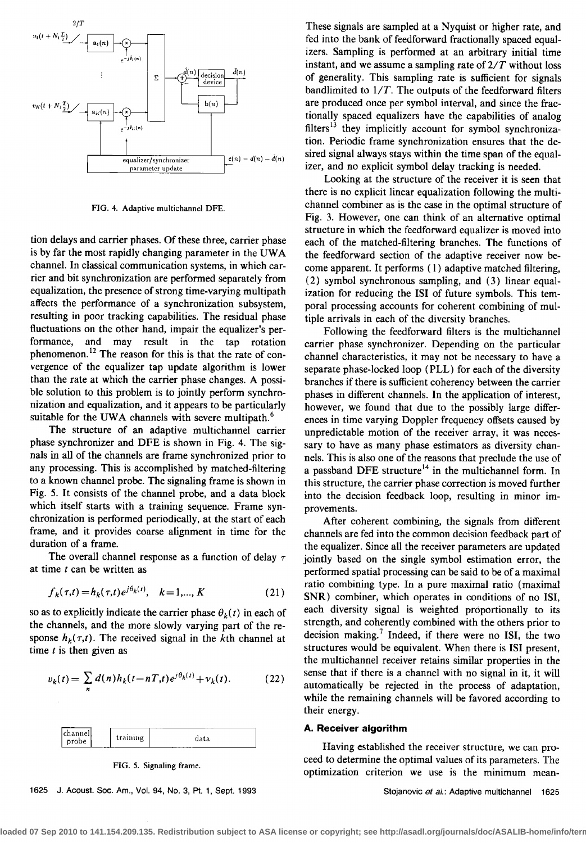

**FIG. 4. Adaptive multichannel DFE.** 

**tion delays and carrier phases. Of these three, carrier phase is by far the most rapidly changing parameter in the UWA channel. In classical communication systems, in which carrier and bit synchronization are performed separately from equalization, the presence of strong time-varying multipath affects the performance of a synchronization subsystem, resulting in poor tracking capabilities. The residual phase**  fluctuations on the other hand, impair the equalizer's per-<br>formance, and may result in the tap rotation **formance, and may result in the tap rotation**  phenomenon.<sup>12</sup> The reason for this is that the rate of con**vergence of the equalizer tap update algorithm is lower than the rate at which the carrier phase changes. A possible solution to this problem is to jointly perform synchronization and equalization, and it appears to be particularly suitable for the UWA channels with severe multipath. 6** 

**The structure of an adaptive multichannel carrier phase synchronizer and DFE is shown in Fig. 4. The signals in all of the channels are frame synchronized prior to any processing. This is accomplished by matched-filtering to a known channel probe. The signaling frame is shown in Fig. 5. It consists of the channel probe, and a data block which itself starts with a training sequence. Frame synchronization is performed periodically, at the start of each frame, and it provides coarse alignment in time for the duration of a frame.** 

**The overall channel response as a function of delay r at time t can be written as** 

$$
f_k(\tau, t) = h_k(\tau, t) e^{j\theta_k(t)}, \quad k = 1, ..., K
$$
 (21)

so as to explicitly indicate the carrier phase  $\theta_k(t)$  in each of **the channels, and the more slowly varying part of the re**sponse  $h_k(\tau,t)$ . The received signal in the kth channel at **time t is then given as** 

$$
v_k(t) = \sum_n d(n)h_k(t - nT,t)e^{j\theta_k(t)} + v_k(t).
$$
 (22)



**FIG. 5. Signaling frame.** 

**1625 J. Acoust. Soc. Am., Vol. 94, No. 3, Pt. 1, Sept. 1993**  **These signals are sampled at a Nyquist or higher rate, and fed into the bank of feedforward fractionally spaced equalizers. Sampling is performed at an arbitrary initial time instant, and we assume asampling rate of 2/T without loss of generality. This sampling rate is sufficient for signals bandlimited to 1/T. The outputs of the feedforward filters are produced once per symbol interval, and since the fractionally spaced equalizers have the capabilities of analog**  filters<sup>13</sup> they implicitly account for symbol synchroniza**tion. Periodic frame synchronization ensures that the desired signal always stays within the time span of the equalizer, and no explicit symbol delay tracking is needed.** 

**Looking at the structure of the receiver it is seen that there is no explicit linear equalization following the multichannel combinet as is the case in the optimal structure of Fig. 3. However, one can think of an alternative optimal structure in which the feedforward equalizer is moved into each of the matched-filtering branches. The functions of the feedforward section of the adaptive receiver now become apparent. It performs ( 1 ) adaptive matched filtering, (2) symbol synchronous sampling, and (3) linear equalization for reducing the ISI of future symbols. This temporal processing accounts for coherent combining of multiple arrivals in each of the diversity branches.** 

**Following the feedforward filters is the multichannel carrier phase synchronizer. Depending on the particular channel characteristics, itmay not be necessary to have a separate phase-locked loop (PLL) for each of the diversity branches if there is sufficient coherency between the carrier phases in different channels. In the application of interest, however, we found that due to the possibly large differences in time varying Doppler frequency offsets caused by unpredictable motion of the receiver array, it was necessary to have as many phase estimators as diversity channels. This is also one of the reasons that preclude the use of**  a passband DFE structure<sup>14</sup> in the multichannel form. In **this structure, the carrier phase correction is moved further into the decision feedback loop, resulting in minor improvements.** 

**After coherent combining, the signals from different channels are fed into the common decision feedback part of the equalizer. Since all the receiver parameters are updated jointly based on the single symbol estimation error, the performed spatial processing can be said to be of a maximal ratio combining type. In a pure maximal ratio (maximal \$NR) combiner, which operates in conditions of no ISI, each diversity signal is weighted proportionally to its strength, and coherently combined with the others prior to decision making. ? Indeed, if there were no ISI, the two structures would be equivalent. When there is ISI present,**  the multichannel receiver retains similar properties in the **sense that if there is a channel with no signal in it, it will automatically be rejected in the process of adaptation, while the remaining channels will be favored according to their energy.** 

## **A. Receiver algorithm**

**Having established the receiver structure, we can proceed to determine the optimal values of its parameters. The optimization criterion we use is the minimum mean-**

**Stojanovic et al.: Adaptive multichannel 1625** 

loaded 07 Sep 2010 to 141.154.209.135. Redistribution subject to ASA license or copyright; see http://asadl.org/journals/doc/ASALIB-home/info/terr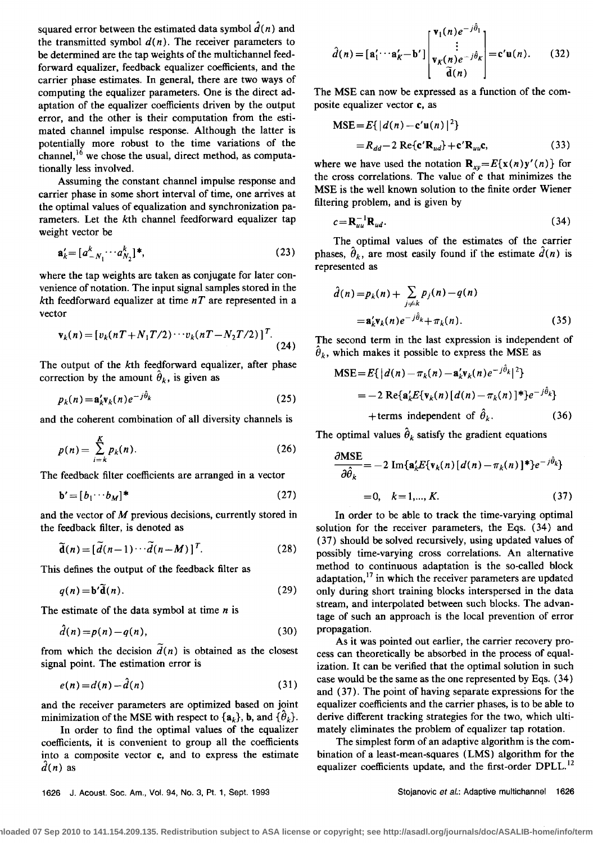squared error between the estimated data symbol  $\hat{d}(n)$  and the transmitted symbol  $d(n)$ . The receiver parameters to **be determined are the tap weights of the multichannel feedforward equalizer, feedback equalizer coefficients, and the carrier phase estimates. In general, there are two ways of computing the equalizer parameters. One is the direct adaptation of the equalizer coefficients driven by the output error, and the other is their computation from the estimated channel impulse response. Although the latter is potentially more robust to the time variations of the**  channel,<sup>16</sup> we chose the usual, direct method, as computa**tionally less involved.** 

**Assuming the constant channel impulse response and carrier phase in some short interval of time, one arrives at the optimal values of equalization and synchronization parameters. Let the kth channel feedforward equalizer tap weight vector be** 

$$
\mathbf{a}'_k = [a^k_{-N_1} \cdots a^k_{N_2}]^*,\tag{23}
$$

**where the tap weights are taken as conjugate for later con**venience of notation. The input signal samples stored in the kth feedforward equalizer at time  $nT$  are represented in a **vector** 

$$
\mathbf{v}_{k}(n) = [v_{k}(nT + N_{1}T/2) \cdots v_{k}(nT - N_{2}T/2)]^{T}.
$$
\n(24)

**The output of the kth feedforward equalizer, after phase**  correction by the amount  $\hat{\theta}_k$ , is given as

$$
p_k(n) = \mathbf{a}_k' \mathbf{v}_k(n) e^{-j\theta_k} \tag{25}
$$

**and the coherent combination of all diversity channels is** 

$$
p(n) = \sum_{i=k}^{K} p_k(n). \tag{26}
$$

**The feedback filter coefficients are arranged in a vector** 

$$
\mathbf{b}' = [b_1 \cdots b_M]^* \tag{27}
$$

**and the vector of M previous decisions, currently stored in the feedback filter, is denoted as** 

$$
\widetilde{\mathbf{d}}(n) = [\widetilde{d}(n-1)\cdots\widetilde{d}(n-M)]^T. \tag{28}
$$

**This defines the output of the feedback filter as** 

$$
q(n) = \mathbf{b}'\mathbf{\tilde{d}}(n). \tag{29}
$$

**The estimate of the data symbol at time n is** 

$$
\hat{d}(n) = p(n) - q(n),\tag{30}
$$

from which the decision  $d(n)$  is obtained as the closest **signal point. The estimation error is** 

$$
e(n) = d(n) - \tilde{d}(n) \tag{31}
$$

and the receiver parameters are optimized based on joint minimization of the MSE with respect to  $\{a_k\}$ , **b**, and  $\{\hat{\theta}_k\}$ .

**In order to find the optimal values of the equalizer coefficients, it is convenient to group all the coefficients into a composite vector e, and to express the estimate**   $d(n)$  as

$$
\hat{d}(n) = [\mathbf{a}'_1 \cdots \mathbf{a}'_K - \mathbf{b}'] \begin{bmatrix} \mathbf{v}_1(n) e^{-j\theta_1} \\ \vdots \\ \mathbf{v}_K(n) e^{-j\theta_K} \\ \tilde{\mathbf{d}}(n) \end{bmatrix} = \mathbf{c}' \mathbf{u}(n). \quad (32)
$$

**The MSE can now be expressed as a function of the composite equalizer vector e, as** 

$$
MSE = E\{|d(n) - \mathbf{c}'\mathbf{u}(n)|^2\}
$$
  
=  $R_{dd} - 2 \operatorname{Re}\{\mathbf{c}'\mathbf{R}_{ud}\} + \mathbf{c}'\mathbf{R}_{uu}\mathbf{c},$  (33)

where we have used the notation  $\mathbf{R}_{xy} = E\{\mathbf{x}(n)\mathbf{y}'(n)\}$  for **the cross correlations. The value of e that minimizes the MSE is the well known solution to the finite order Wiener filtering problem, and is given by** 

$$
c = \mathbf{R}_{uu}^{-1} \mathbf{R}_{ud}.
$$
 (34)

**The optimal values of the estimates of the carrier**  phases,  $\hat{\theta}_k$ , are most easily found if the estimate  $\hat{d}(n)$  is **represented as** 

$$
\hat{d}(n) = p_k(n) + \sum_{j \neq k} p_j(n) - q(n) \n= \mathbf{a}'_k \mathbf{v}_k(n) e^{-j\hat{\theta}_k} + \pi_k(n).
$$
\n(35)

**The second term in the last expression is independent of**   $\hat{\theta}_k$ , which makes it possible to express the MSE as

$$
\begin{aligned} \text{MSE} &= E\{|d(n) - \pi_k(n) - \mathbf{a}_k' \mathbf{v}_k(n)e^{-j\theta_k}|^2\} \\ &= -2 \operatorname{Re}\{\mathbf{a}_k' E\{\mathbf{v}_k(n)[d(n) - \pi_k(n)]^*\}e^{-j\hat{\theta}_k}\} \\ &\quad + \text{terms independent of } \hat{\theta}_k. \end{aligned} \tag{36}
$$

The optimal values  $\hat{\theta}_k$  satisfy the gradient equations

$$
\frac{\partial \text{MSE}}{\partial \hat{\theta}_k} = -2 \text{ Im}\{\mathbf{a}_k'E\{\mathbf{v}_k(n) [d(n) - \pi_k(n)]^*\}e^{-j\hat{\theta}_k}\}
$$
  
= 0,  $k = 1,..., K.$  (37)

**In order to be able to track the time-varying optimal solution for the receiver parameters, the Eqs. (34) and (37) should be solved recursively, using updated values of possibly time-varying cross correlations. An alternative method to continuous adaptation is the so-called block adaptation, •? in which the receiver parameters are updated only during short training blocks interspersed in the data stream, and interpolated between such blocks. The advantage of such an approach is the local prevention of error propagation.** 

**As it was pointed out earlier, the carrier recovery process can theoretically be absorbed in the process of equalization. It can be verified that the optimal solution in such case would be the same as the one represented by Eqs. (34) and (37). The point of having separate expressions for the equalizer coefficients and the carrier phases, is to be able to derive different tracking strategies for the two, which ultimately eliminates the problem of equalizer tap rotation.** 

**The simplest form of an adaptive algorithm is the combination of a least-mean-squares (LMS) algorithm for the equalizer coefficients update, and the first-order DPLL. 12** 

**1626 J. Acoust. Soc. Am., Vol. 94, No. 3, Pt. 1, Sept. 1993 Stojanovic et al.: Adaptive multichannel 1626**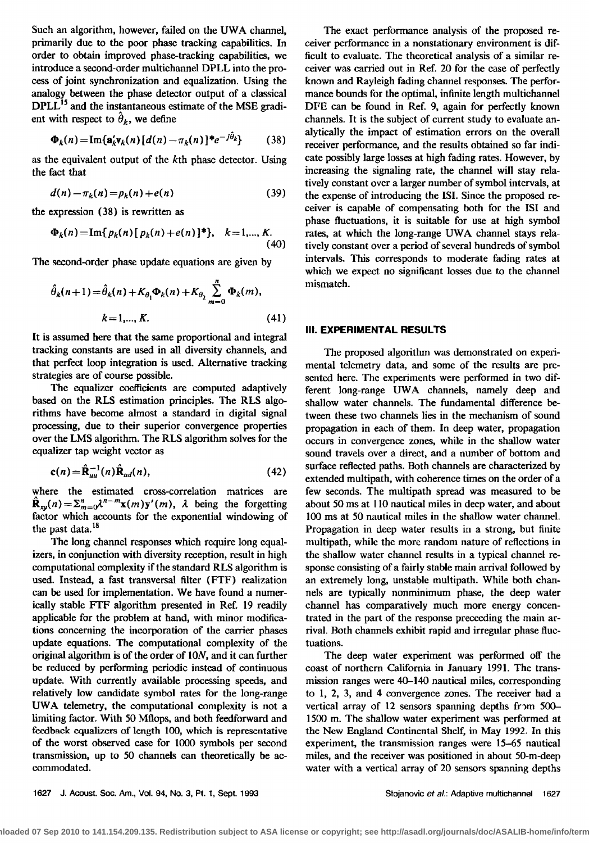**Such an algorithm, however, failed on the UWA channel, primarily due to the poor phase tracking capabilities. In order to obtain improved phase-tracking capabilities, we introduce a second-order multichannel DPLL into the process of joint synchronization and equalization. Using the analogy between the phase detector output of a classical**  DPLL<sup>15</sup> and the instantaneous estimate of the MSE gradient with respect to  $\hat{\theta}_k$ , we define

$$
\Phi_k(n) = \text{Im}\{\mathbf{a}_k'\mathbf{v}_k(n)\left[d(n) - \pi_k(n)\right]^*e^{-j\theta_k}\}\qquad(38)
$$

**as the equivalent output of the kth phase detector. Using the fact that** 

$$
d(n) - \pi_k(n) = p_k(n) + e(n)
$$
 (39)

**the expression (38) is rewritten as** 

$$
\Phi_k(n) = \text{Im}\{p_k(n)\{p_k(n) + e(n)\}^*\}, \quad k = 1,..., K. \tag{40}
$$

**The second-order phase update equations are given by** 

$$
\hat{\theta}_{k}(n+1) = \hat{\theta}_{k}(n) + K_{\theta_{1}} \Phi_{k}(n) + K_{\theta_{2}} \sum_{m=0}^{n} \Phi_{k}(m),
$$
\n
$$
k = 1, ..., K.
$$
\n(41)

**It is assumed here that the same proportional and integral tracking constants are used in all diversity channels, and that perfect loop integration is used. Alternative tracking strategies are of course possible.** 

**The equalizer coefficients are computed adaptively based on the RLS estimation principles. The RLS algo**rithms have become almost a standard in digital signal **processing, due to their superior convergence properties over the LMS algorithm. The RLS algorithm solves for the equalizer tap weight vector as** 

$$
\mathbf{c}(n) = \hat{\mathbf{R}}_{uu}^{-1}(n)\hat{\mathbf{R}}_{ud}(n),\tag{42}
$$

**where the estimated cross-correlation matrices are**   $\hat{\bf R}_{xy}(n) = \sum_{m=0}^{n} \lambda^{n-m} {\bf x}(m) {\bf y}'(m)$ ,  $\lambda$  being the forgetting **factor which accounts for the exponential windowing of**  the past data.<sup>18</sup>

**The long channel responses which require long equalizers, in conjunction with diversity reception, result in high computational complexity if the standard RLS algorithm is used. Instead, a fast transversal filter (FTF) realization can be used for implementation. We have found a numerically stable FTF algorithm presented in Ref. 19 readily applicable for the problem at hand, with minor modifications concerning the incorporation of the eartier phases update equations. The computational complexity of the original algorithm is of the order of 10N, and it can further be reduced by performing periodic instead of continuous update. With currently available processing speeds, and relatively low candidate symbol rates for the long-range UWA telemetry, the computational complexity is not a limiting factor. With 50 Mfiops, and both feedforward and feedback equalizers of length 100, which is representative of the worst observed case for 1000 symbols per second transmission, up to 50 channels can theoretically be accommodated.** 

**The exact performance analysis of the proposed receiver performance in a nonstationary environment is difficult to evaluate. The theoretical analysis of a similar receiver was carried out in Ref. 20 for the case of perfectly known and Rayleigh fading channel responses. The performance bounds for the optimal, infinite length multichannel DFE can be found in Ref. 9, again for perfectly known channels. It is the subject of current study to evaluate analytically the impact of estimation errors on the overall receiver performance, and the results obtained so far indicate possibly large losses at high fading rates. However, by increasing the signaling rate, the channel will stay relatively constant over a larger number of symbol intervals, at the expense of introducing the ISI. Since the proposed receiver is capable of compensating both for the ISI and phase fluctuations, it is suitable for use at high symbol rates, at which the long-range UWA channel stays relatively constant over a period of several hundreds of symbol intervals. This corresponds to moderate fading rates at which we expect no significant losses due to the channel mismatch.** 

## **III. EXPERIMENTAL RESULTS**

**The proposed algorithm was demonstrated on experimental telemetry data, and some of the results are presented here. The experiments were performed in two different long-range UWA channels, namely deep and shallow water channels. The fundamental difference between these two channels lies in the mechanism of sound propagation in each of them. In deep water, propagation occurs in convergence zones, while in the shallow water sound travels over a direct, and a number of bottom and surface reflected paths. Both channels are characterized by extended multipath, with coherence times on the order of a few seconds. The multipath spread was measured to be about 50 ms at 110 nautical miles in deep water, and about 100 ms at 50 nautical miles in the shallow water channel. Propagation in deep water results in a strong, but finite multipath, while the more random nature of reflections in the shallow water channel results in a typical channel response consisting of a fairly stable main arrival followed by an extremely long, unstable multipath. While both channels are typically nonminimum phase, the deep water channd has comparatively much more energy concentrated in the part of the response preceeding the main arrival. Both channels exhibit rapid and irregular phase fluctuations.** 

**The deep water experiment was performed off the coast of northern California in January 1991. The transmission ranges were 40-140 nautical miles, corresponding to 1, 2, 3, and 4 convergence zones. The receiver had a**  vertical array of 12 sensors spanning depths from 500-**1500 m. The shallow water experiment was performed at the New England Continental Shelf, in May 1992. In this experiment, the transmission ranges were 15-65 nautical miles, and the receiver was positioned in about 50-m-deep water with a vertical array of 20 sensors spanning depths** 

```
1627 J. Acoust. Soc. Am., Vol. 94, No. 3, Pt. 1, Sept. 1993 Stojanovic et aL: Adaptive multichannel 1627
```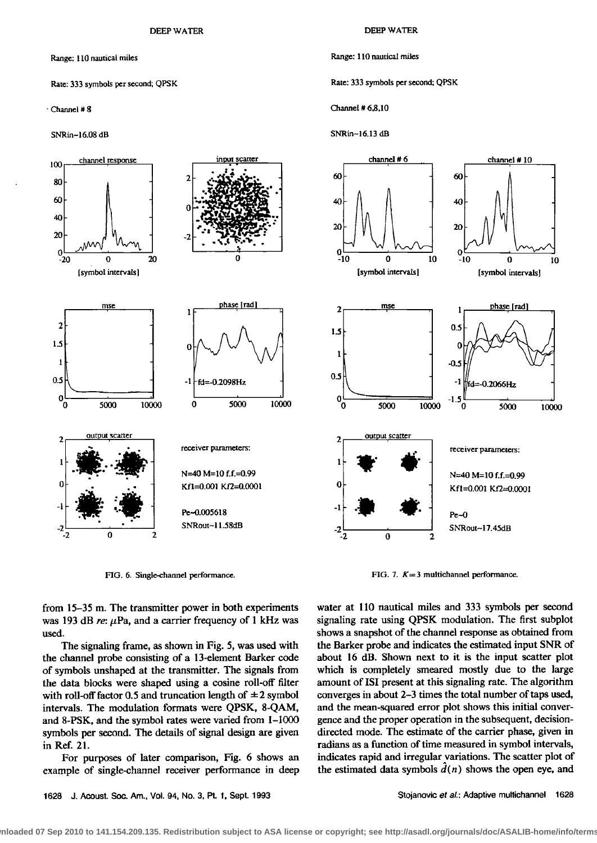**Range: 1 l0 nautical miles** 

#### **Rate: 333 symbols per second; QPSK**

**ß Channel # g** 

**SNRin- 16.08 dB** 

**DEEP WATER** 

#### **Range: 110 nautical miles**

**Rate: 333 symbols per second; QPSK** 

**Channel # 6,8,10** 

## **SNRin~I 6.13 dB**



FIG. 6. Single-channel performance. *FIG. 7. K* **= 3 multichannel performance.** 

**from 15-35 m. The transmitter power in both experiments**  was 193 dB re:  $\mu$ Pa, and a carrier frequency of 1 kHz was **used.** 

**The signaling frame, as shown in Fig. 5, was used with the channel probe consisting of a 13-element Barker code of symbols unshaped at the transmitter. The signals from the data blocks were shaped using a cosine roll-off filter**  with roll-off factor 0.5 and truncation length of  $\pm 2$  symbol **intervals. The modulation formats were QPSK, 8-QAM, and 8-PSK, and the symbol rates were varied from 1-1000 symbols per second. The details of signal design are given in Ref. 21.** 

**For purposes of later comparison, Fig. 6 shows an example of single-channel receiver performance in deep**  **water at 110 nautical miles and 333 symbols per second signaling rate using QPSK modulation. The first subplot shows a snapshot of the channel response as obtained from the Barker probe and indicates the estimated input SNR of about 16 dB. Shown next to it is the input scatter plot which is completely smeared mostly due to the large amount of ISI present at this signaling rate. The algorithm converges in about 2-3 times the total number of taps used, and the mean-squared error plot shows this initial convergence and the proper operation in the subsequent, decisiondirected mode. The estimate of the carrier phase, given in radians as a function of time measured in symbol intervals,**  indicates rapid and irregular variations. The scatter plot of the estimated data symbols  $\hat{d}(n)$  shows the open eye, and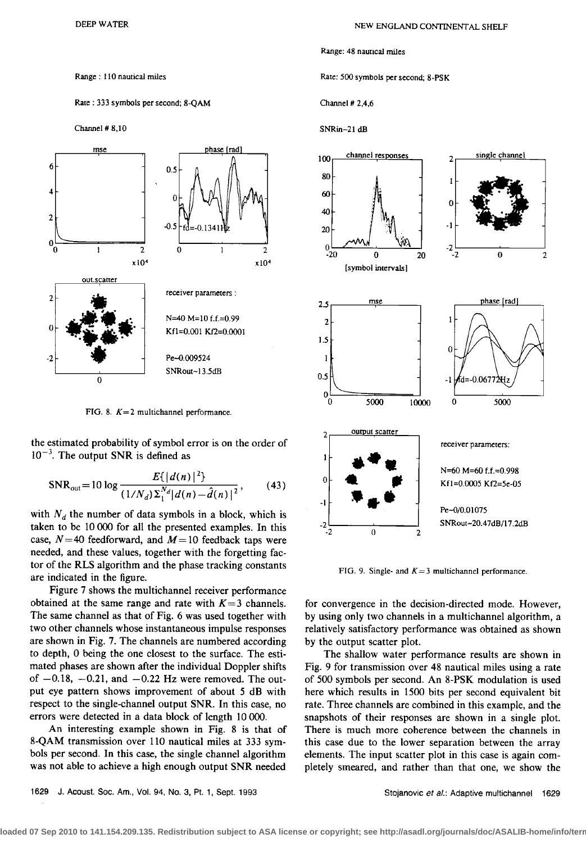## **Range: 110 nautical miles**

# **Rate: 333 symbols per second; 8-QAM**

**Channel # 8,10** 



**FIG. 8. K=2 multichannel performance.** 

**the estimated probability of symbol error is on the order of**   $10^{-3}$ . The output SNR is defined as

$$
SNR_{out} = 10 \log \frac{E\{|d(n)|^2\}}{(1/N_d)\Sigma_1^{N_d}|d(n) - \hat{d}(n)|^2},
$$
 (43)

with  $N_d$  the number of data symbols in a block, which is **taken to be 10 000 for all the presented examples. In this**  case,  $N=40$  feedforward, and  $M=10$  feedback taps were **needed, and these values, together with the forgetting factor of the RLS algorithm and the phase tracking constants are indicated in the figure.** 

**Figure 7 shows the multichannel receiver performance**  obtained at the same range and rate with  $K=3$  channels. **The same channel as that of Fig. 6 was used together with two other channels whose instantaneous impulse responses are shown in Fig. 7. The channels are numbered according to depth, 0 being the one closest to the surface. The estimated phases are shown after the individual Doppler shifts**  of  $-0.18$ ,  $-0.21$ , and  $-0.22$  Hz were removed. The out**put eye pattern shows improvement of about 5 dB with**  respect to the single-channel output SNR. In this case, no **errors were detected in a data block of length 10 000.** 

**An interesting example shown in Fig. 8 is that of 8-QAM transmission over 110 nautical miles at 333 symbols per second. In this case, the single channel algorithm was not able to achieve a high enough output SNR needed** 

# **Range: 48 nauucal nailes**

**Rate: 500 symbols per second; 8-PSK** 

**Channel # 2,4,6** 

**SNRin-21 dB** 



FIG. 9. Single- and  $K=3$  multichannel performance.

**for convergence in the decision-directed mode. However, by using only two channels in a multichannel algorithm, a relatively satisfactory performance was obtained as shown by the output scatter plot.** 

**The shallow water performance results are shown in Fig. 9 for transmission over 48 nautical miles using a rate of 500 symbols per second. An 8-PSK modulation is used here which results in 1500 bits per second equivalent bit rate. Three channels are combined in this example, and the snapshots of their responses are shown in a single plot. There is much more coherence between the channels in this case due to the lower separation between the array elements. The input scatter plot in this case is again completely smeared., and rather than that one, we show the**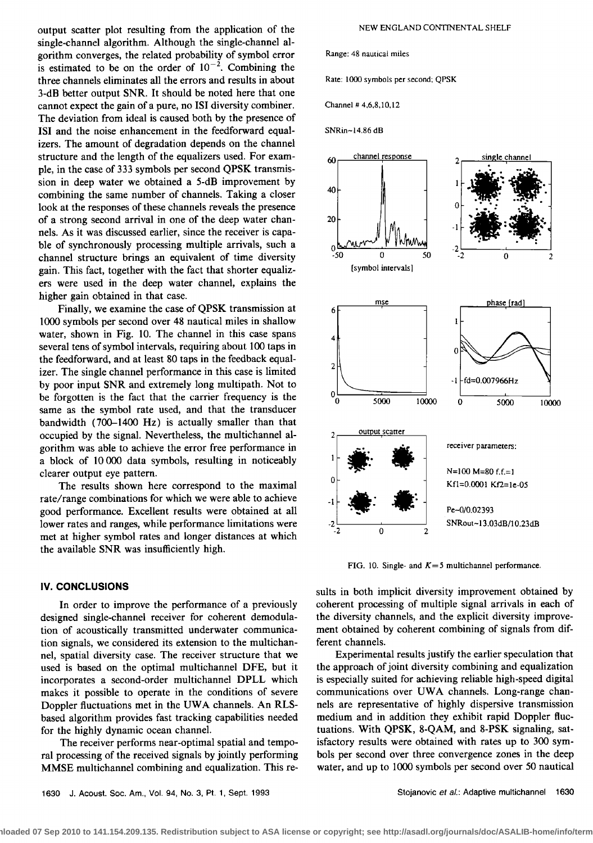**output scatter plot resulting from the application of the**  single-channel algorithm. Although the single-channel al**gorithm converges, the related probability of symbol error**  is estimated to be on the order of  $10^{-2}$ . Combining the **three channels eliminates all the errors and results in about 3-dB better output SNR. It should be noted here that one cannot expect the gain of a pure, no ISI diversity combiner. The deviation from ideal is caused both by the presence of ISI and the noise enhancement in the feedforward equalizers. The amount of degradation depends on the channel structure and the length of the equalizers used. For example, in the case of 333 symbols per second QPSK transmission in deep water we obtained a 5-dB improvement by combining the same number of channels. Taking a closer look at the responses of these channels reveals the presence of a strong second arrival in one of the deep water channels. As it was discussed earlier, since the receiver is capable of synchronously processing multiple arrivals, such a channel structure brings an equivalent of time diversity gain. This fact, together with the fact that shorter equalizers were used in the deep water channel, explains the higher gain obtained in that case.** 

**Finally, we examine the case of QPSK transmission at 1000 symbols per second over 48 nautical miles in shallow water, shown in Fig. 10. The channel in this case spans several tens of symbol intervals, requiring about 100 taps in the feedforward, and at least 80 taps in the feedback equalizer. The single channel performance in this case is limited by poor input SNR and extremely long multipath. Not to be forgotten is the fact that the carrier frequency is the same as the symbol rate used, and that the transducer bandwidth (700-1400 Hz) is actually smaller than that occupied by the signal. Nevertheless, the multichannel algorithm was able to achieve the error free performance in a block of 10000 data symbols, resulting in noticeably clearer output eye pattern.** 

**The results shown here correspond to the maximal rate/range combinations for which we were able to achieve good performance. Excellent results were obtained at all lower rates and ranges, while performance limitations were met at higher symbol rates and longer distances at which the available SNR was insufficiently high.** 

## **IV. CONCLUSIONS**

**In order to improve the performance of a previously designed single-channel receiver for coherent demodulation of acoustically transmitted underwater communication signals, we considered its extension to the multichannel, spatial diversity case. The receiver structure that we**  used is based on the optimal multichannel DFE, but it **incorporates a second-order multichannel DPLL which makes it possible to operate in the conditions of severe Doppler fluctuations met in the UWA channels. An RLSbased algorithm provides fast tracking capabilities needed for the highly dynamic ocean channel.** 

**The receiver performs near-optimal spatial and temporal processing of the received signals by jointly performing MMSE multichannel combining and equalization. This re-**

#### **Range: 4g nautical miles**

**Rate: 1000 symbols per second; QPSK** 

**Channel # 4.6,8,10,12** 

**SNRin- 14.86 dB** 



FIG. 10. Single- and  $K=5$  multichannel performance.

**sults in both implicit diversity improvement obtained by coherent processing of multiple signal arrivals in each of the diversity channels, and the explicit diversity improvement obtained by coherent combining of signals from different channels.** 

**Experimental results justify the earlier speculation that the approach of joint diversity combining and equalization is especially suited for achieving reliable high-speed digital communications over UWA channels. Long-range channels are representative of highly dispersive transmission medium and in addition they exhibit rapid Doppler fluctuations. With QPSK, 8-QAM, and 8-PSK signaling, satisfactory results were obtained with rates up to 300 symbols per second over three convergence zones in the deep water, and up to 1000 symbols per second over 50 nautical**